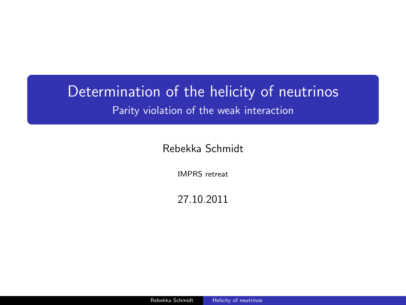### Determination of the helicity of neutrinos Parity violation of the weak interaction

Rebekka Schmidt

IMPRS retreat

<span id="page-0-0"></span>27.10.2011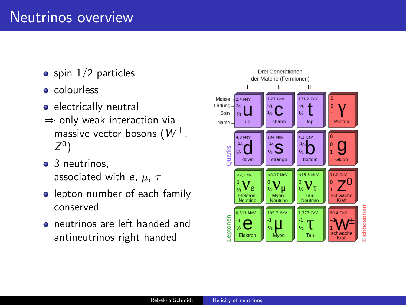- $\bullet$  spin  $1/2$  particles
- **e** colourless
- **e** electrically neutral
- $\Rightarrow$  only weak interaction via massive vector bosons  $(W^{\pm})$  $Z^0$ )
- 3 neutrinos, associated with e,  $\mu$ ,  $\tau$
- **•** lepton number of each family conserved
- neutrinos are left handed and antineutrinos right handed

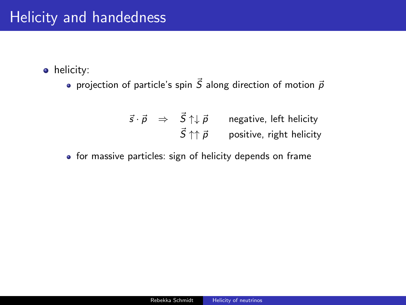# Helicity and handedness

• helicity:

• projection of particle's spin  $\vec{S}$  along direction of motion  $\vec{p}$ 

$$
\vec{s} \cdot \vec{p} \Rightarrow \vec{S} \uparrow \downarrow \vec{p} \quad \text{negative, left helicity} \n\vec{S} \uparrow \uparrow \vec{p} \quad \text{positive, right helicity}
$$

for massive particles: sign of helicity depends on frame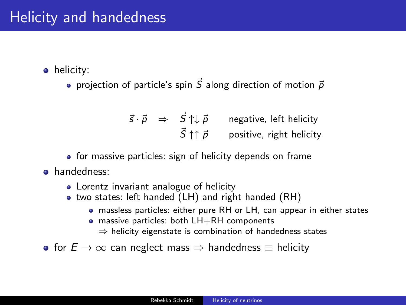• helicity:

• projection of particle's spin  $\vec{S}$  along direction of motion  $\vec{p}$ 

$$
\vec{s} \cdot \vec{p} \Rightarrow \vec{S} \uparrow \downarrow \vec{p} \quad \text{negative, left helicity} \n\vec{S} \uparrow \uparrow \vec{p} \quad \text{positive, right helicity}
$$

• for massive particles: sign of helicity depends on frame

- handedness:
	- Lorentz invariant analogue of helicity
	- two states: left handed (LH) and right handed (RH)
		- massless particles: either pure RH or LH, can appear in either states
		- massive particles: both LH+RH components
			- $\Rightarrow$  helicity eigenstate is combination of handedness states

• for  $E \to \infty$  can neglect mass  $\Rightarrow$  handedness  $\equiv$  helicity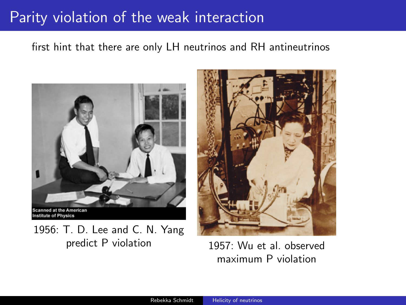# Parity violation of the weak interaction

#### first hint that there are only LH neutrinos and RH antineutrinos



1956: T. D. Lee and C. N. Yang predict P violation 1957: Wu et al. observed



maximum P violation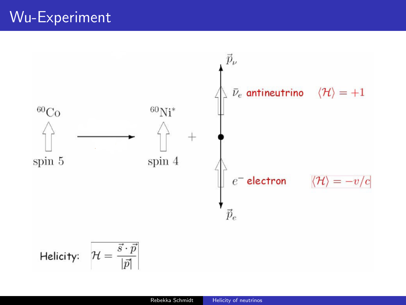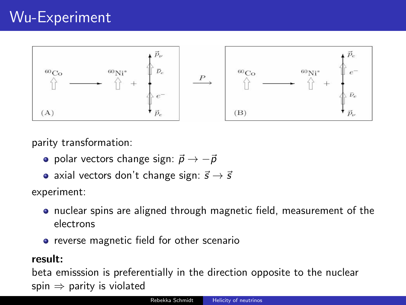

parity transformation:

- polar vectors change sign:  $\vec{p} \rightarrow -\vec{p}$
- axial vectors don't change sign:  $\vec{s} \rightarrow \vec{s}$

experiment:

- **•** nuclear spins are aligned through magnetic field, measurement of the electrons
- **•** reverse magnetic field for other scenario

#### result:

beta emisssion is preferentially in the direction opposite to the nuclear spin  $\Rightarrow$  parity is violated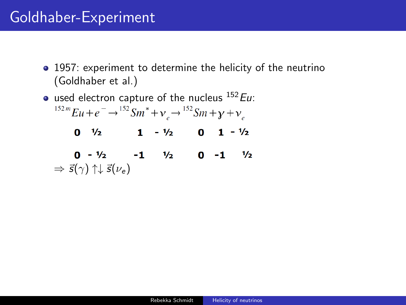- 1957: experiment to determine the helicity of the neutrino (Goldhaber et al.)
- used electron capture of the nucleus  $^{152}$ Eu:  $^{152m}Eu + e^- \rightarrow ^{152}Sm^* + v_s \rightarrow ^{152}Sm + \gamma + v_s$  $0 \quad \frac{1}{2}$   $1 \quad -\frac{1}{2}$   $0 \quad 1 \quad -\frac{1}{2}$  $0 - \frac{1}{2}$  -1  $\frac{1}{2}$  0 -1  $\frac{1}{2}$  $\Rightarrow$   $\vec{s}(\gamma) \uparrow \downarrow \vec{s}(\nu_e)$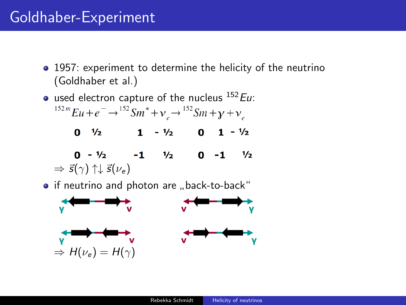- 1957: experiment to determine the helicity of the neutrino (Goldhaber et al.)
- used electron capture of the nucleus  $^{152}$ Eu:  $^{152m}Eu + e^- \rightarrow ^{152}Sm^* + v_s \rightarrow ^{152}Sm + \gamma + v_s$  $0 \frac{1}{2}$  1 -  $\frac{1}{2}$  0 1 -  $\frac{1}{2}$  $0 - \frac{1}{2}$  -1  $\frac{1}{2}$  0 -1  $\frac{1}{2}$  $\Rightarrow$   $\vec{s}(\gamma) \uparrow \downarrow \vec{s}(\nu_e)$ if neutrino and photon are "back-to-back"<br>————————————————————

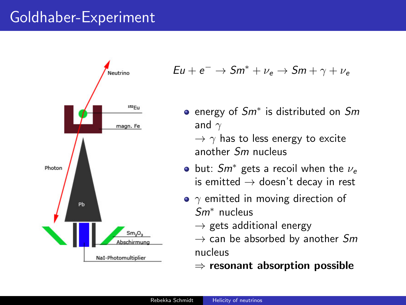

$$
Eu + e^- \rightarrow Sm^* + \nu_e \rightarrow Sm + \gamma + \nu_e
$$

- energy of *Sm*<sup>∗</sup> is distributed on *Sm* and  $\gamma$ 
	- $\rightarrow \gamma$  has to less energy to excite another Sm nucleus
- but:  $Sm^*$  gets a recoil when the  $\nu_e$ is emitted  $\rightarrow$  doesn't decay in rest
- $\gamma$  emitted in moving direction of Sm<sup>∗</sup> nucleus
	- $\rightarrow$  gets additional energy
	- $\rightarrow$  can be absorbed by another Sm nucleus
	- $\Rightarrow$  resonant absorption possible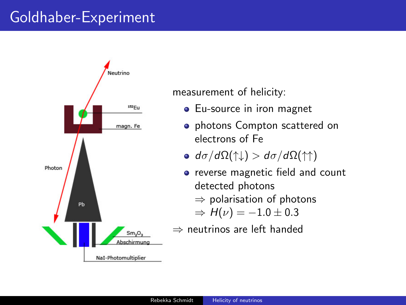

#### measurement of helicity:

- Eu-source in iron magnet
- **•** photons Compton scattered on electrons of Fe
- $\bullet$  d $\sigma$ /dΩ(↑↓) > d $\sigma$ /dΩ(↑↑)
- reverse magnetic field and count detected photons  $\Rightarrow$  polarisation of photons
	- $\Rightarrow H(\nu) = -1.0 \pm 0.3$
- ⇒ neutrinos are left handed